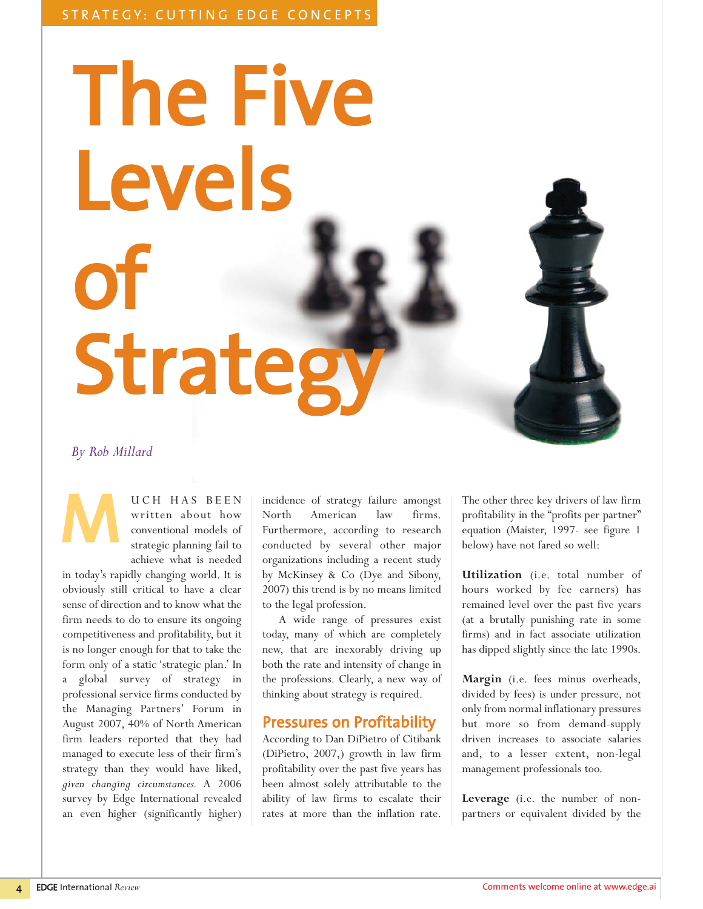# The Five Levels of Strategy

#### *By Rob Millard*

M

UCH HAS BEEN written about how conventional models of strategic planning fail to achieve what is needed

in today's rapidly changing world. It is obviously still critical to have a clear sense of direction and to know what the firm needs to do to ensure its ongoing competitiveness and profitability, but it is no longer enough for that to take the form only of a static 'strategic plan.' In a global survey of strategy in professional service firms conducted by the Managing Partners' Forum in August 2007, 40% of North American firm leaders reported that they had managed to execute less of their firm's strategy than they would have liked, *given changing circumstances.* A 2006 survey by Edge International revealed an even higher (significantly higher)

incidence of strategy failure amongst North American law firms. Furthermore, according to research conducted by several other major organizations including a recent study by McKinsey & Co (Dye and Sibony, 2007) this trend is by no means limited to the legal profession.

A wide range of pressures exist today, many of which are completely new, that are inexorably driving up both the rate and intensity of change in the professions. Clearly, a new way of thinking about strategy is required.

## Pressures on Profitability

According to Dan DiPietro of Citibank (DiPietro, 2007,) growth in law firm profitability over the past five years has been almost solely attributable to the ability of law firms to escalate their rates at more than the inflation rate.

The other three key drivers of law firm profitability in the "profits per partner" equation (Maister, 1997- see figure 1 below) have not fared so well:

**Utilization** (i.e. total number of hours worked by fee earners) has remained level over the past five years (at a brutally punishing rate in some firms) and in fact associate utilization has dipped slightly since the late 1990s.

**Margin** (i.e. fees minus overheads, divided by fees) is under pressure, not only from normal inflationary pressures but more so from demand-supply driven increases to associate salaries and, to a lesser extent, non-legal management professionals too.

**Leverage** (i.e. the number of nonpartners or equivalent divided by the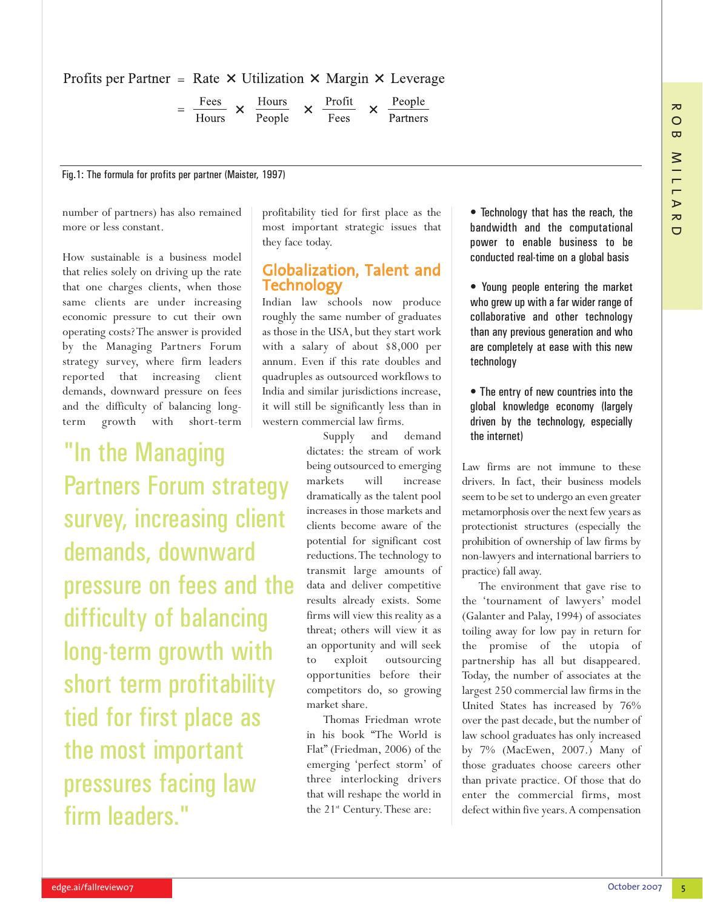$\overline{C}$ 

#### Profits per Partner = Rate  $\times$  Utilization  $\times$  Margin  $\times$  Leverage

$$
= \frac{\text{Fees}}{\text{Hours}} \times \frac{\text{Hours}}{\text{People}} \times \frac{\text{Profit}}{\text{Fees}} \times \frac{\text{People}}{\text{Partners}}
$$

Fig.1: The formula for profits per partner (Maister, 1997)

number of partners) has also remained more or less constant.

How sustainable is a business model that relies solely on driving up the rate that one charges clients, when those same clients are under increasing economic pressure to cut their own operating costs? The answer is provided by the Managing Partners Forum strategy survey, where firm leaders reported that increasing client demands, downward pressure on fees and the difficulty of balancing longterm growth with short-term

"In the Managing Partners Forum strategy survey, increasing client demands, downward pressure on fees and the difficulty of balancing long-term growth with short term profitability tied for first place as the most important pressures facing law firm leaders."

profitability tied for first place as the most important strategic issues that they face today.

### Globalization, Talent and Technology

Indian law schools now produce roughly the same number of graduates as those in the USA, but they start work with a salary of about \$8,000 per annum. Even if this rate doubles and quadruples as outsourced workflows to India and similar jurisdictions increase, it will still be significantly less than in western commercial law firms.

> Supply and demand dictates: the stream of work being outsourced to emerging markets will increase dramatically as the talent pool increases in those markets and clients become aware of the potential for significant cost reductions.The technology to transmit large amounts of data and deliver competitive results already exists. Some firms will view this reality as a threat; others will view it as an opportunity and will seek to exploit outsourcing opportunities before their competitors do, so growing market share.

> Thomas Friedman wrote in his book "The World is Flat" (Friedman, 2006) of the emerging 'perfect storm' of three interlocking drivers that will reshape the world in the 21<sup>st</sup> Century. These are:

• Technology that has the reach, the bandwidth and the computational power to enable business to be conducted real-time on a global basis

• Young people entering the market who grew up with a far wider range of collaborative and other technology than any previous generation and who are completely at ease with this new technology

• The entry of new countries into the global knowledge economy (largely driven by the technology, especially the internet)

Law firms are not immune to these drivers. In fact, their business models seem to be set to undergo an even greater metamorphosis over the next few years as protectionist structures (especially the prohibition of ownership of law firms by non-lawyers and international barriers to practice) fall away.

The environment that gave rise to the 'tournament of lawyers' model (Galanter and Palay, 1994) of associates toiling away for low pay in return for the promise of the utopia of partnership has all but disappeared. Today, the number of associates at the largest 250 commercial law firms in the United States has increased by 76% over the past decade, but the number of law school graduates has only increased by 7% (MacEwen, 2007.) Many of those graduates choose careers other than private practice. Of those that do enter the commercial firms, most defect within five years. A compensation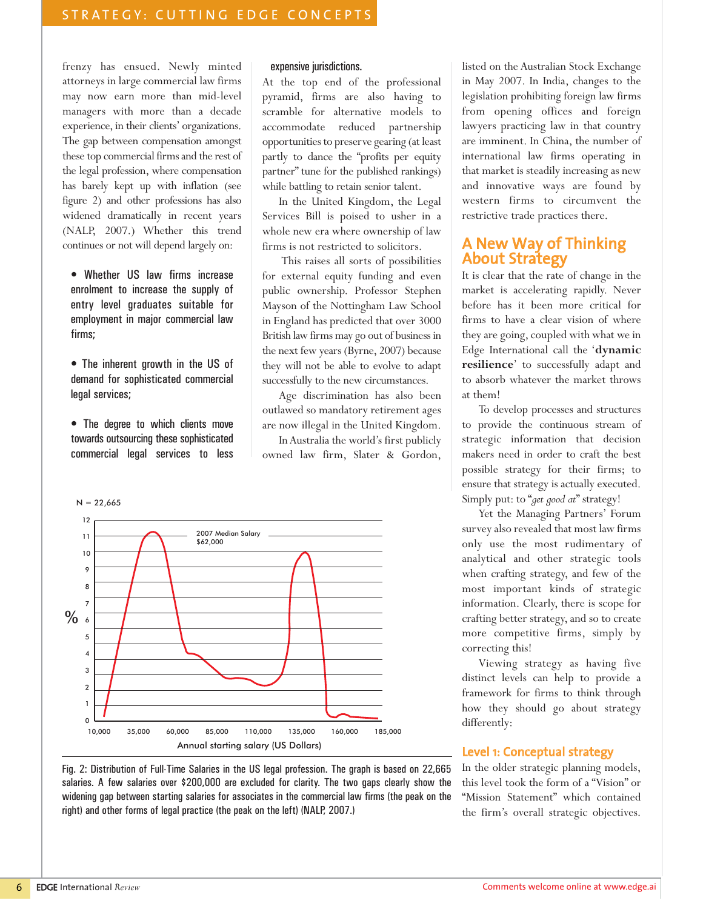frenzy has ensued. Newly minted attorneys in large commercial law firms may now earn more than mid-level managers with more than a decade experience, in their clients' organizations. The gap between compensation amongst these top commercial firms and the rest of the legal profession, where compensation has barely kept up with inflation (see figure 2) and other professions has also widened dramatically in recent years (NALP, 2007.) Whether this trend continues or not will depend largely on:

• Whether US law firms increase enrolment to increase the supply of entry level graduates suitable for employment in major commercial law firms;

• The inherent growth in the US of demand for sophisticated commercial legal services;

• The degree to which clients move towards outsourcing these sophisticated commercial legal services to less

#### expensive jurisdictions.

At the top end of the professional pyramid, firms are also having to scramble for alternative models to accommodate reduced partnership opportunities to preserve gearing (at least partly to dance the "profits per equity partner" tune for the published rankings) while battling to retain senior talent.

In the United Kingdom, the Legal Services Bill is poised to usher in a whole new era where ownership of law firms is not restricted to solicitors.

This raises all sorts of possibilities for external equity funding and even public ownership. Professor Stephen Mayson of the Nottingham Law School in England has predicted that over 3000 British law firms may go out of business in the next few years (Byrne, 2007) because they will not be able to evolve to adapt successfully to the new circumstances.

Age discrimination has also been outlawed so mandatory retirement ages are now illegal in the United Kingdom.

In Australia the world's first publicly owned law firm, Slater & Gordon,



Fig. 2: Distribution of Full-Time Salaries in the US legal profession. The graph is based on 22,665 salaries. A few salaries over \$200,000 are excluded for clarity. The two gaps clearly show the widening gap between starting salaries for associates in the commercial law firms (the peak on the right) and other forms of legal practice (the peak on the left) (NALP, 2007.)

listed on the Australian Stock Exchange in May 2007. In India, changes to the legislation prohibiting foreign law firms from opening offices and foreign lawyers practicing law in that country are imminent. In China, the number of international law firms operating in that market is steadily increasing as new and innovative ways are found by western firms to circumvent the restrictive trade practices there.

# A New Way of Thinking About Strategy

It is clear that the rate of change in the market is accelerating rapidly. Never before has it been more critical for firms to have a clear vision of where they are going, coupled with what we in Edge International call the '**dynamic resilience**' to successfully adapt and to absorb whatever the market throws at them!

To develop processes and structures to provide the continuous stream of strategic information that decision makers need in order to craft the best possible strategy for their firms; to ensure that strategy is actually executed. Simply put: to "*get good at*" strategy!

Yet the Managing Partners' Forum survey also revealed that most law firms only use the most rudimentary of analytical and other strategic tools when crafting strategy, and few of the most important kinds of strategic information. Clearly, there is scope for crafting better strategy, and so to create more competitive firms, simply by correcting this!

Viewing strategy as having five distinct levels can help to provide a framework for firms to think through how they should go about strategy differently:

#### Level 1: Conceptual strategy

In the older strategic planning models, this level took the form of a "Vision" or "Mission Statement" which contained the firm's overall strategic objectives.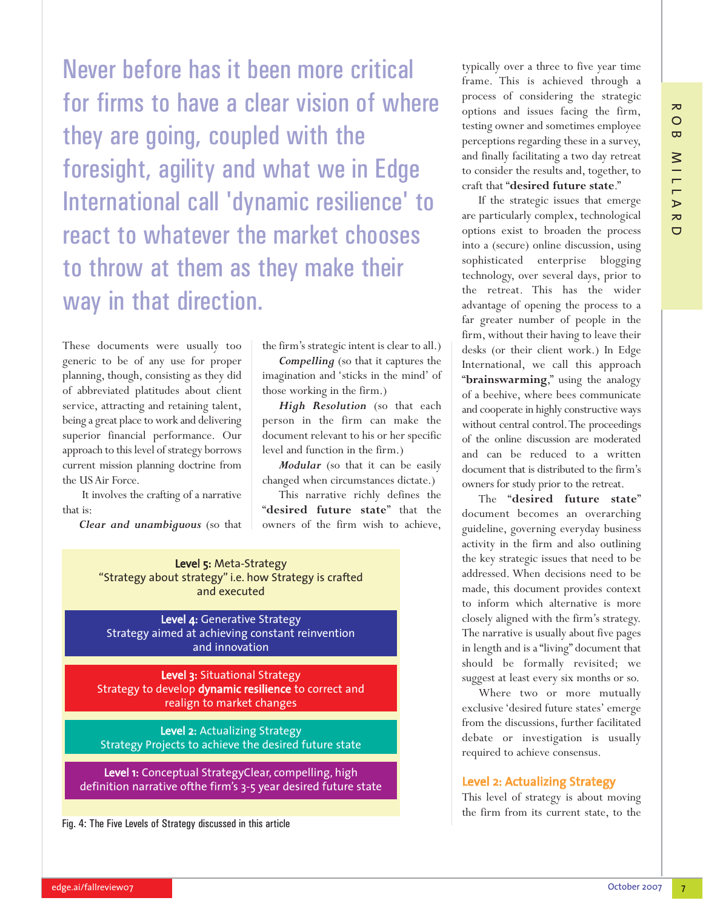Never before has it been more critical for firms to have a clear vision of where they are going, coupled with the foresight, agility and what we in Edge International call 'dynamic resilience' to react to whatever the market chooses to throw at them as they make their way in that direction.

These documents were usually too generic to be of any use for proper planning, though, consisting as they did of abbreviated platitudes about client service, attracting and retaining talent, being a great place to work and delivering superior financial performance. Our approach to this level of strategy borrows current mission planning doctrine from the US Air Force.

It involves the crafting of a narrative that is:

*Clear and unambiguous* (so that

the firm's strategic intent is clear to all.)

*Compelling* (so that it captures the imagination and 'sticks in the mind' of those working in the firm.)

*High Resolution* (so that each person in the firm can make the document relevant to his or her specific level and function in the firm.)

*Modular* (so that it can be easily changed when circumstances dictate.)

This narrative richly defines the "**desired future state**" that the owners of the firm wish to achieve,

Level 5: Meta-Strategy "Strategy about strategy" i.e. how Strategy is crafted and executed

Level 4: Generative Strategy Strategy aimed at achieving constant reinvention and innovation

Level 3: Situational Strategy Strategy to develop dynamic resilience to correct and realign to market changes

Level 2: Actualizing Strategy Strategy Projects to achieve the desired future state

Level 1: Conceptual StrategyClear, compelling, high definition narrative ofthe firm's 3-5 year desired future state

Fig. 4: The Five Levels of Strategy discussed in this article

typically over a three to five year time frame. This is achieved through a process of considering the strategic options and issues facing the firm, testing owner and sometimes employee perceptions regarding these in a survey, and finally facilitating a two day retreat to consider the results and, together, to craft that "**desired future state**."

If the strategic issues that emerge are particularly complex, technological options exist to broaden the process into a (secure) online discussion, using sophisticated enterprise blogging technology, over several days, prior to the retreat. This has the wider advantage of opening the process to a far greater number of people in the firm, without their having to leave their desks (or their client work.) In Edge International, we call this approach "**brainswarming**," using the analogy of a beehive, where bees communicate and cooperate in highly constructive ways without central control.The proceedings of the online discussion are moderated and can be reduced to a written document that is distributed to the firm's owners for study prior to the retreat.

The "**desired future state**" document becomes an overarching guideline, governing everyday business activity in the firm and also outlining the key strategic issues that need to be addressed. When decisions need to be made, this document provides context to inform which alternative is more closely aligned with the firm's strategy. The narrative is usually about five pages in length and is a "living" document that should be formally revisited; we suggest at least every six months or so.

Where two or more mutually exclusive 'desired future states' emerge from the discussions, further facilitated debate or investigation is usually required to achieve consensus.

#### Level 2: Actualizing Strategy

This level of strategy is about moving the firm from its current state, to the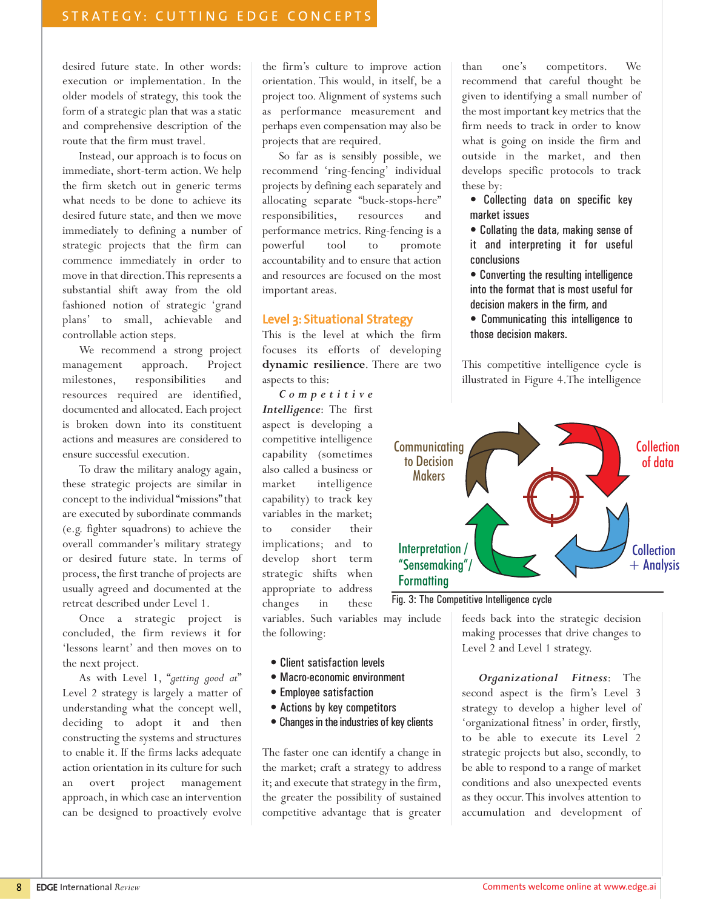desired future state. In other words: execution or implementation. In the older models of strategy, this took the form of a strategic plan that was a static and comprehensive description of the route that the firm must travel.

Instead, our approach is to focus on immediate, short-term action.We help the firm sketch out in generic terms what needs to be done to achieve its desired future state, and then we move immediately to defining a number of strategic projects that the firm can commence immediately in order to move in that direction.This represents a substantial shift away from the old fashioned notion of strategic 'grand plans' to small, achievable and controllable action steps.

We recommend a strong project management approach. Project milestones, responsibilities and resources required are identified, documented and allocated. Each project is broken down into its constituent actions and measures are considered to ensure successful execution.

To draw the military analogy again, these strategic projects are similar in concept to the individual "missions" that are executed by subordinate commands (e.g. fighter squadrons) to achieve the overall commander's military strategy or desired future state. In terms of process, the first tranche of projects are usually agreed and documented at the retreat described under Level 1.

Once a strategic project is concluded, the firm reviews it for 'lessons learnt' and then moves on to the next project.

As with Level 1, "*getting good at*" Level 2 strategy is largely a matter of understanding what the concept well, deciding to adopt it and then constructing the systems and structures to enable it. If the firms lacks adequate action orientation in its culture for such an overt project management approach, in which case an intervention can be designed to proactively evolve

the firm's culture to improve action orientation. This would, in itself, be a project too. Alignment of systems such as performance measurement and perhaps even compensation may also be projects that are required.

So far as is sensibly possible, we recommend 'ring-fencing' individual projects by defining each separately and allocating separate "buck-stops-here" responsibilities, resources and performance metrics. Ring-fencing is a powerful tool to promote accountability and to ensure that action and resources are focused on the most important areas.

#### Level 3: Situational Strategy

This is the level at which the firm focuses its efforts of developing **dynamic resilience**. There are two aspects to this:

*Competitive Intelligence*: The first aspect is developing a competitive intelligence capability (sometimes also called a business or market intelligence capability) to track key variables in the market; to consider their implications; and to develop short term strategic shifts when appropriate to address changes in these

variables. Such variables may include the following:

- Client satisfaction levels
- Macro-economic environment
- Employee satisfaction
- Actions by key competitors
- Changes in the industries of key clients

The faster one can identify a change in the market; craft a strategy to address it; and execute that strategy in the firm, the greater the possibility of sustained competitive advantage that is greater than one's competitors. We recommend that careful thought be given to identifying a small number of the most important key metrics that the firm needs to track in order to know what is going on inside the firm and outside in the market, and then develops specific protocols to track these by:

- Collecting data on specific key market issues
- Collating the data, making sense of it and interpreting it for useful conclusions
- Converting the resulting intelligence into the format that is most useful for decision makers in the firm, and
- Communicating this intelligence to those decision makers.

This competitive intelligence cycle is illustrated in Figure 4.The intelligence



Fig. 3: The Competitive Intelligence cycle

feeds back into the strategic decision making processes that drive changes to Level 2 and Level 1 strategy.

*Organizational Fitness*: The second aspect is the firm's Level 3 strategy to develop a higher level of 'organizational fitness' in order, firstly, to be able to execute its Level 2 strategic projects but also, secondly, to be able to respond to a range of market conditions and also unexpected events as they occur.This involves attention to accumulation and development of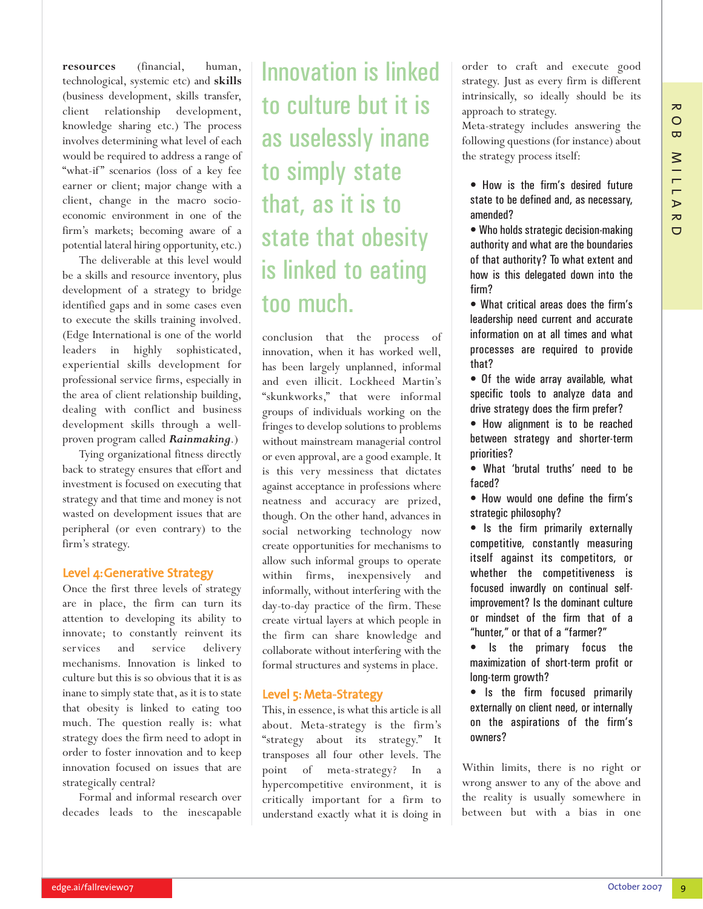**resources** (financial, human, technological, systemic etc) and **skills** (business development, skills transfer, client relationship development, knowledge sharing etc.) The process involves determining what level of each would be required to address a range of "what-if" scenarios (loss of a key fee earner or client; major change with a client, change in the macro socioeconomic environment in one of the firm's markets; becoming aware of a potential lateral hiring opportunity, etc.)

The deliverable at this level would be a skills and resource inventory, plus development of a strategy to bridge identified gaps and in some cases even to execute the skills training involved. (Edge International is one of the world leaders in highly sophisticated, experiential skills development for professional service firms, especially in the area of client relationship building, dealing with conflict and business development skills through a wellproven program called *Rainmaking*.)

Tying organizational fitness directly back to strategy ensures that effort and investment is focused on executing that strategy and that time and money is not wasted on development issues that are peripheral (or even contrary) to the firm's strategy.

#### Level 4:Generative Strategy

Once the first three levels of strategy are in place, the firm can turn its attention to developing its ability to innovate; to constantly reinvent its services and service delivery mechanisms. Innovation is linked to culture but this is so obvious that it is as inane to simply state that, as it is to state that obesity is linked to eating too much. The question really is: what strategy does the firm need to adopt in order to foster innovation and to keep innovation focused on issues that are strategically central?

Formal and informal research over decades leads to the inescapable

# Innovation is linked to culture but it is as uselessly inane to simply state that, as it is to state that obesity is linked to eating too much.

conclusion that the process of innovation, when it has worked well, has been largely unplanned, informal and even illicit. Lockheed Martin's "skunkworks," that were informal groups of individuals working on the fringes to develop solutions to problems without mainstream managerial control or even approval, are a good example. It is this very messiness that dictates against acceptance in professions where neatness and accuracy are prized, though. On the other hand, advances in social networking technology now create opportunities for mechanisms to allow such informal groups to operate within firms, inexpensively and informally, without interfering with the day-to-day practice of the firm. These create virtual layers at which people in the firm can share knowledge and collaborate without interfering with the formal structures and systems in place.

#### Level 5: Meta-Strategy

This, in essence, is what this article is all about. Meta-strategy is the firm's "strategy about its strategy." It transposes all four other levels. The point of meta-strategy? In a hypercompetitive environment, it is critically important for a firm to understand exactly what it is doing in order to craft and execute good strategy. Just as every firm is different intrinsically, so ideally should be its approach to strategy.

Meta-strategy includes answering the following questions (for instance) about the strategy process itself:

• How is the firm's desired future state to be defined and, as necessary, amended?

• Who holds strategic decision-making authority and what are the boundaries of that authority? To what extent and how is this delegated down into the firm?

• What critical areas does the firm's leadership need current and accurate information on at all times and what processes are required to provide that?

• Of the wide array available, what specific tools to analyze data and drive strategy does the firm prefer?

• How alignment is to be reached between strategy and shorter-term priorities?

• What 'brutal truths' need to be faced?

• How would one define the firm's strategic philosophy?

• Is the firm primarily externally competitive, constantly measuring itself against its competitors, or whether the competitiveness is focused inwardly on continual selfimprovement? Is the dominant culture or mindset of the firm that of a "hunter," or that of a "farmer?"

• Is the primary focus the maximization of short-term profit or long-term growth?

• Is the firm focused primarily externally on client need, or internally on the aspirations of the firm's owners?

Within limits, there is no right or wrong answer to any of the above and the reality is usually somewhere in between but with a bias in one